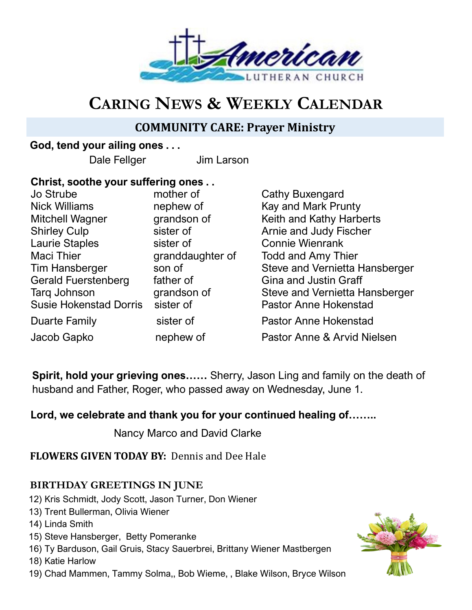

# **CARING NEWS & WEEKLY CALENDAR**

# **COMMUNITY CARE: Prayer Ministry**

## **God, tend your ailing ones . . .**

Dale Fellger Jim Larson

## **Christ, soothe your suffering ones . .**

Jo Strube **mother of** Cathy Buxengard Nick Williams **nephew of** Kay and Mark Prunty Mitchell Wagner grandson of Keith and Kathy Harberts Shirley Culp sister of Arnie and Judy Fischer Laurie Staples sister of Connie Wienrank Maci Thier **granddaughter of** Todd and Amy Thier Tim Hansberger son of Steve and Vernietta Hansberger Gerald Fuerstenberg father of Gina and Justin Graff Tarq Johnson **grandson of** Steve and Vernietta Hansberger Susie Hokenstad Dorris sister of Pastor Anne Hokenstad Duarte Family Sister of Pastor Anne Hokenstad Jacob Gapko nephew of Pastor Anne & Arvid Nielsen

**Spirit, hold your grieving ones……** Sherry, Jason Ling and family on the death of husband and Father, Roger, who passed away on Wednesday, June 1.

# **Lord, we celebrate and thank you for your continued healing of……..**

Nancy Marco and David Clarke

**FLOWERS GIVEN TODAY BY:** Dennis and Dee Hale

## **BIRTHDAY GREETINGS IN JUNE**

- 12) Kris Schmidt, Jody Scott, Jason Turner, Don Wiener
- 13) Trent Bullerman, Olivia Wiener
- 14) Linda Smith
- 15) Steve Hansberger, Betty Pomeranke
- 16) Ty Barduson, Gail Gruis, Stacy Sauerbrei, Brittany Wiener Mastbergen

18) Katie Harlow

19) Chad Mammen, Tammy Solma,, Bob Wieme, , Blake Wilson, Bryce Wilson